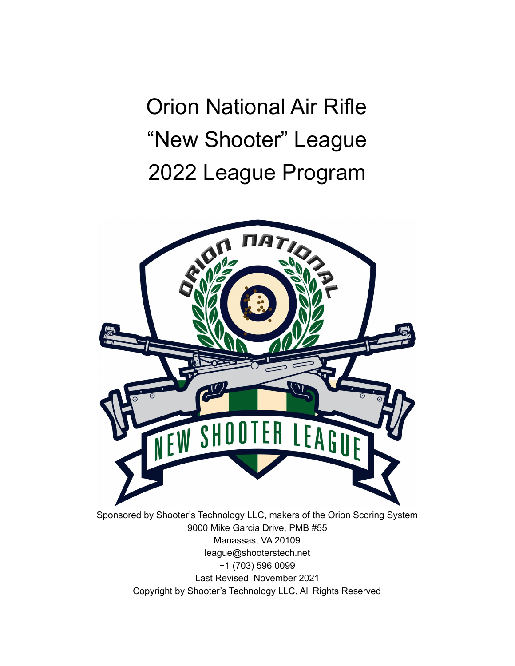Orion National Air Rifle "New Shooter" League 2022 League Program



Manassas, VA 20109 league@shooterstech.net +1 (703) 596 0099 Last Revised November 2021 Copyright by Shooter's Technology LLC, All Rights Reserved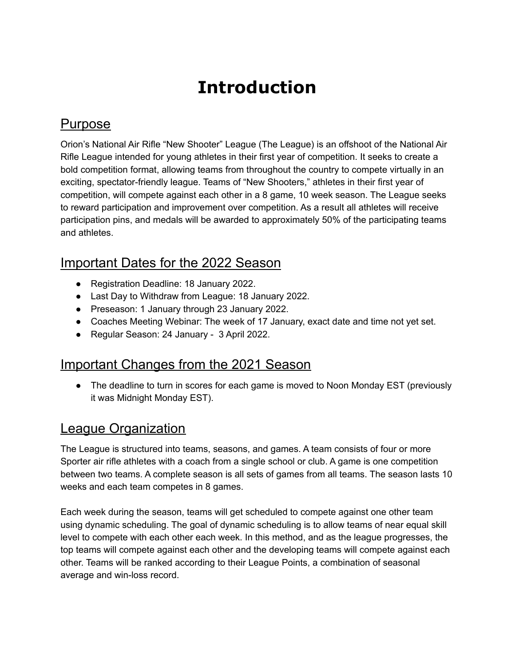# **Introduction**

#### Purpose

Orion's National Air Rifle "New Shooter" League (The League) is an offshoot of the National Air Rifle League intended for young athletes in their first year of competition. It seeks to create a bold competition format, allowing teams from throughout the country to compete virtually in an exciting, spectator-friendly league. Teams of "New Shooters," athletes in their first year of competition, will compete against each other in a 8 game, 10 week season. The League seeks to reward participation and improvement over competition. As a result all athletes will receive participation pins, and medals will be awarded to approximately 50% of the participating teams and athletes.

### Important Dates for the 2022 Season

- Registration Deadline: 18 January 2022.
- Last Day to Withdraw from League: 18 January 2022.
- Preseason: 1 January through 23 January 2022.
- Coaches Meeting Webinar: The week of 17 January, exact date and time not yet set.
- Regular Season: 24 January 3 April 2022.

### Important Changes from the 2021 Season

• The deadline to turn in scores for each game is moved to Noon Monday EST (previously it was Midnight Monday EST).

## League Organization

The League is structured into teams, seasons, and games. A team consists of four or more Sporter air rifle athletes with a coach from a single school or club. A game is one competition between two teams. A complete season is all sets of games from all teams. The season lasts 10 weeks and each team competes in 8 games.

Each week during the season, teams will get scheduled to compete against one other team using dynamic scheduling. The goal of dynamic scheduling is to allow teams of near equal skill level to compete with each other each week. In this method, and as the league progresses, the top teams will compete against each other and the developing teams will compete against each other. Teams will be ranked according to their League Points, a combination of seasonal average and win-loss record.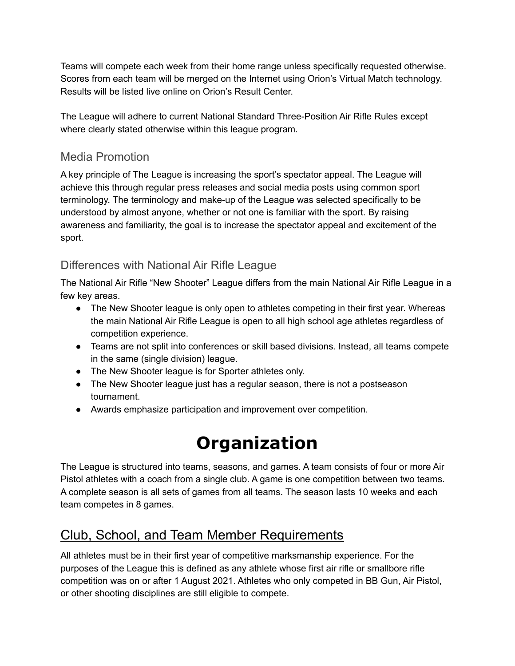Teams will compete each week from their home range unless specifically requested otherwise. Scores from each team will be merged on the Internet using Orion's Virtual Match technology. Results will be listed live online on Orion's Result Center.

The League will adhere to current National Standard Three-Position Air Rifle Rules except where clearly stated otherwise within this league program.

#### Media Promotion

A key principle of The League is increasing the sport's spectator appeal. The League will achieve this through regular press releases and social media posts using common sport terminology. The terminology and make-up of the League was selected specifically to be understood by almost anyone, whether or not one is familiar with the sport. By raising awareness and familiarity, the goal is to increase the spectator appeal and excitement of the sport.

#### Differences with National Air Rifle League

The National Air Rifle "New Shooter" League differs from the main National Air Rifle League in a few key areas.

- The New Shooter league is only open to athletes competing in their first year. Whereas the main National Air Rifle League is open to all high school age athletes regardless of competition experience.
- Teams are not split into conferences or skill based divisions. Instead, all teams compete in the same (single division) league.
- The New Shooter league is for Sporter athletes only.
- The New Shooter league just has a regular season, there is not a postseason tournament.
- Awards emphasize participation and improvement over competition.

# **Organization**

The League is structured into teams, seasons, and games. A team consists of four or more Air Pistol athletes with a coach from a single club. A game is one competition between two teams. A complete season is all sets of games from all teams. The season lasts 10 weeks and each team competes in 8 games.

## Club, School, and Team Member Requirements

All athletes must be in their first year of competitive marksmanship experience. For the purposes of the League this is defined as any athlete whose first air rifle or smallbore rifle competition was on or after 1 August 2021. Athletes who only competed in BB Gun, Air Pistol, or other shooting disciplines are still eligible to compete.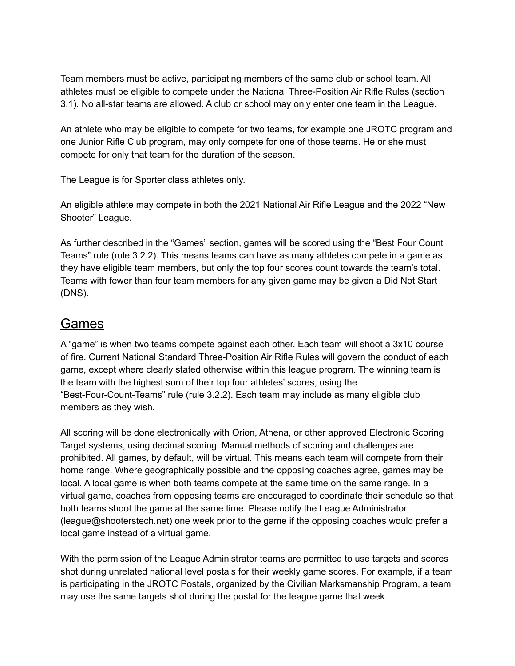Team members must be active, participating members of the same club or school team. All athletes must be eligible to compete under the National Three-Position Air Rifle Rules (section 3.1). No all-star teams are allowed. A club or school may only enter one team in the League.

An athlete who may be eligible to compete for two teams, for example one JROTC program and one Junior Rifle Club program, may only compete for one of those teams. He or she must compete for only that team for the duration of the season.

The League is for Sporter class athletes only.

An eligible athlete may compete in both the 2021 National Air Rifle League and the 2022 "New Shooter" League.

As further described in the "Games" section, games will be scored using the "Best Four Count Teams" rule (rule 3.2.2). This means teams can have as many athletes compete in a game as they have eligible team members, but only the top four scores count towards the team's total. Teams with fewer than four team members for any given game may be given a Did Not Start (DNS).

#### Games

A "game" is when two teams compete against each other. Each team will shoot a 3x10 course of fire. Current National Standard Three-Position Air Rifle Rules will govern the conduct of each game, except where clearly stated otherwise within this league program. The winning team is the team with the highest sum of their top four athletes' scores, using the "Best-Four-Count-Teams" rule (rule 3.2.2). Each team may include as many eligible club members as they wish.

All scoring will be done electronically with Orion, Athena, or other approved Electronic Scoring Target systems, using decimal scoring. Manual methods of scoring and challenges are prohibited. All games, by default, will be virtual. This means each team will compete from their home range. Where geographically possible and the opposing coaches agree, games may be local. A local game is when both teams compete at the same time on the same range. In a virtual game, coaches from opposing teams are encouraged to coordinate their schedule so that both teams shoot the game at the same time. Please notify the League Administrator (league@shooterstech.net) one week prior to the game if the opposing coaches would prefer a local game instead of a virtual game.

With the permission of the League Administrator teams are permitted to use targets and scores shot during unrelated national level postals for their weekly game scores. For example, if a team is participating in the JROTC Postals, organized by the Civilian Marksmanship Program, a team may use the same targets shot during the postal for the league game that week.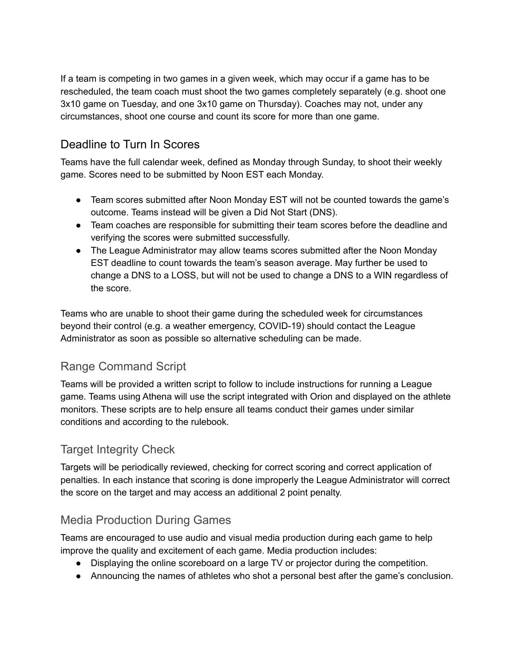If a team is competing in two games in a given week, which may occur if a game has to be rescheduled, the team coach must shoot the two games completely separately (e.g. shoot one 3x10 game on Tuesday, and one 3x10 game on Thursday). Coaches may not, under any circumstances, shoot one course and count its score for more than one game.

#### Deadline to Turn In Scores

Teams have the full calendar week, defined as Monday through Sunday, to shoot their weekly game. Scores need to be submitted by Noon EST each Monday.

- Team scores submitted after Noon Monday EST will not be counted towards the game's outcome. Teams instead will be given a Did Not Start (DNS).
- Team coaches are responsible for submitting their team scores before the deadline and verifying the scores were submitted successfully.
- The League Administrator may allow teams scores submitted after the Noon Monday EST deadline to count towards the team's season average. May further be used to change a DNS to a LOSS, but will not be used to change a DNS to a WIN regardless of the score.

Teams who are unable to shoot their game during the scheduled week for circumstances beyond their control (e.g. a weather emergency, COVID-19) should contact the League Administrator as soon as possible so alternative scheduling can be made.

#### Range Command Script

Teams will be provided a written script to follow to include instructions for running a League game. Teams using Athena will use the script integrated with Orion and displayed on the athlete monitors. These scripts are to help ensure all teams conduct their games under similar conditions and according to the rulebook.

#### Target Integrity Check

Targets will be periodically reviewed, checking for correct scoring and correct application of penalties. In each instance that scoring is done improperly the League Administrator will correct the score on the target and may access an additional 2 point penalty.

#### Media Production During Games

Teams are encouraged to use audio and visual media production during each game to help improve the quality and excitement of each game. Media production includes:

- Displaying the online scoreboard on a large TV or projector during the competition.
- Announcing the names of athletes who shot a personal best after the game's conclusion.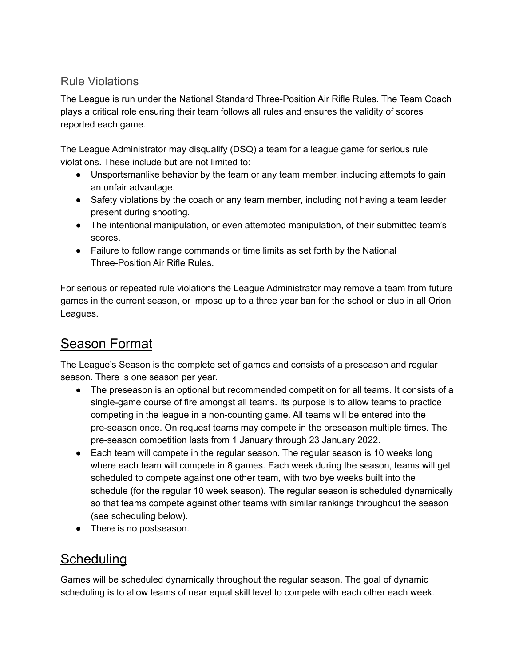#### Rule Violations

The League is run under the National Standard Three-Position Air Rifle Rules. The Team Coach plays a critical role ensuring their team follows all rules and ensures the validity of scores reported each game.

The League Administrator may disqualify (DSQ) a team for a league game for serious rule violations. These include but are not limited to:

- Unsportsmanlike behavior by the team or any team member, including attempts to gain an unfair advantage.
- Safety violations by the coach or any team member, including not having a team leader present during shooting.
- The intentional manipulation, or even attempted manipulation, of their submitted team's scores.
- Failure to follow range commands or time limits as set forth by the National Three-Position Air Rifle Rules.

For serious or repeated rule violations the League Administrator may remove a team from future games in the current season, or impose up to a three year ban for the school or club in all Orion Leagues.

## Season Format

The League's Season is the complete set of games and consists of a preseason and regular season. There is one season per year.

- The preseason is an optional but recommended competition for all teams. It consists of a single-game course of fire amongst all teams. Its purpose is to allow teams to practice competing in the league in a non-counting game. All teams will be entered into the pre-season once. On request teams may compete in the preseason multiple times. The pre-season competition lasts from 1 January through 23 January 2022.
- Each team will compete in the regular season. The regular season is 10 weeks long where each team will compete in 8 games. Each week during the season, teams will get scheduled to compete against one other team, with two bye weeks built into the schedule (for the regular 10 week season). The regular season is scheduled dynamically so that teams compete against other teams with similar rankings throughout the season (see scheduling below).
- There is no postseason.

### **Scheduling**

Games will be scheduled dynamically throughout the regular season. The goal of dynamic scheduling is to allow teams of near equal skill level to compete with each other each week.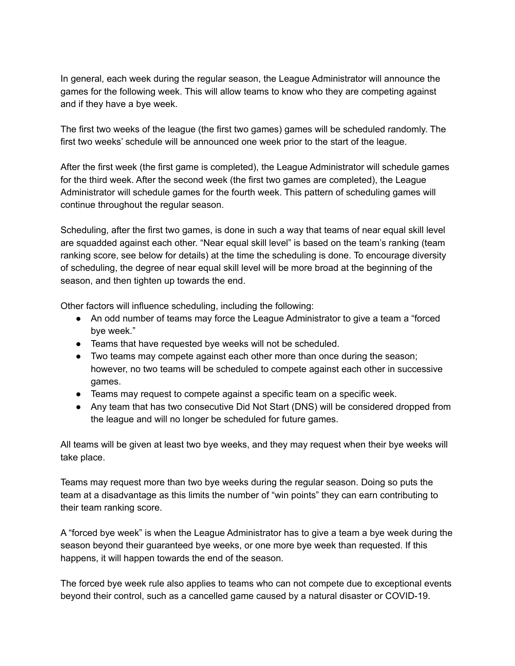In general, each week during the regular season, the League Administrator will announce the games for the following week. This will allow teams to know who they are competing against and if they have a bye week.

The first two weeks of the league (the first two games) games will be scheduled randomly. The first two weeks' schedule will be announced one week prior to the start of the league.

After the first week (the first game is completed), the League Administrator will schedule games for the third week. After the second week (the first two games are completed), the League Administrator will schedule games for the fourth week. This pattern of scheduling games will continue throughout the regular season.

Scheduling, after the first two games, is done in such a way that teams of near equal skill level are squadded against each other. "Near equal skill level" is based on the team's ranking (team ranking score, see below for details) at the time the scheduling is done. To encourage diversity of scheduling, the degree of near equal skill level will be more broad at the beginning of the season, and then tighten up towards the end.

Other factors will influence scheduling, including the following:

- An odd number of teams may force the League Administrator to give a team a "forced bye week."
- Teams that have requested bye weeks will not be scheduled.
- Two teams may compete against each other more than once during the season; however, no two teams will be scheduled to compete against each other in successive games.
- Teams may request to compete against a specific team on a specific week.
- Any team that has two consecutive Did Not Start (DNS) will be considered dropped from the league and will no longer be scheduled for future games.

All teams will be given at least two bye weeks, and they may request when their bye weeks will take place.

Teams may request more than two bye weeks during the regular season. Doing so puts the team at a disadvantage as this limits the number of "win points" they can earn contributing to their team ranking score.

A "forced bye week" is when the League Administrator has to give a team a bye week during the season beyond their guaranteed bye weeks, or one more bye week than requested. If this happens, it will happen towards the end of the season.

The forced bye week rule also applies to teams who can not compete due to exceptional events beyond their control, such as a cancelled game caused by a natural disaster or COVID-19.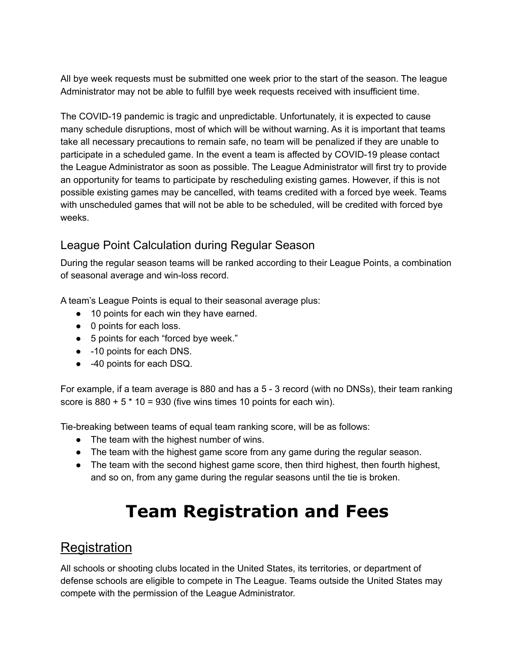All bye week requests must be submitted one week prior to the start of the season. The league Administrator may not be able to fulfill bye week requests received with insufficient time.

The COVID-19 pandemic is tragic and unpredictable. Unfortunately, it is expected to cause many schedule disruptions, most of which will be without warning. As it is important that teams take all necessary precautions to remain safe, no team will be penalized if they are unable to participate in a scheduled game. In the event a team is affected by COVID-19 please contact the League Administrator as soon as possible. The League Administrator will first try to provide an opportunity for teams to participate by rescheduling existing games. However, if this is not possible existing games may be cancelled, with teams credited with a forced bye week. Teams with unscheduled games that will not be able to be scheduled, will be credited with forced bye weeks.

#### League Point Calculation during Regular Season

During the regular season teams will be ranked according to their League Points, a combination of seasonal average and win-loss record.

A team's League Points is equal to their seasonal average plus:

- 10 points for each win they have earned.
- 0 points for each loss.
- 5 points for each "forced bye week."
- -10 points for each DNS.
- -40 points for each DSQ.

For example, if a team average is 880 and has a 5 - 3 record (with no DNSs), their team ranking score is  $880 + 5 * 10 = 930$  (five wins times 10 points for each win).

Tie-breaking between teams of equal team ranking score, will be as follows:

- The team with the highest number of wins.
- The team with the highest game score from any game during the regular season.
- The team with the second highest game score, then third highest, then fourth highest, and so on, from any game during the regular seasons until the tie is broken.

## **Team Registration and Fees**

#### **Registration**

All schools or shooting clubs located in the United States, its territories, or department of defense schools are eligible to compete in The League. Teams outside the United States may compete with the permission of the League Administrator.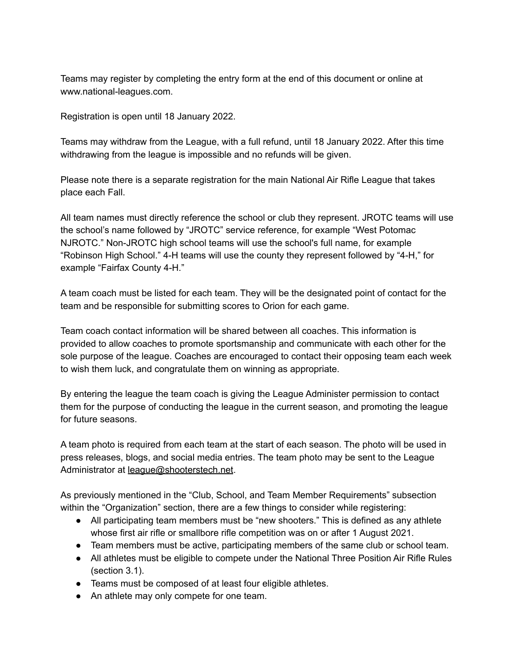Teams may register by completing the entry form at the end of this document or online at www.national-leagues.com.

Registration is open until 18 January 2022.

Teams may withdraw from the League, with a full refund, until 18 January 2022. After this time withdrawing from the league is impossible and no refunds will be given.

Please note there is a separate registration for the main National Air Rifle League that takes place each Fall.

All team names must directly reference the school or club they represent. JROTC teams will use the school's name followed by "JROTC" service reference, for example "West Potomac NJROTC." Non-JROTC high school teams will use the school's full name, for example "Robinson High School." 4-H teams will use the county they represent followed by "4-H," for example "Fairfax County 4-H."

A team coach must be listed for each team. They will be the designated point of contact for the team and be responsible for submitting scores to Orion for each game.

Team coach contact information will be shared between all coaches. This information is provided to allow coaches to promote sportsmanship and communicate with each other for the sole purpose of the league. Coaches are encouraged to contact their opposing team each week to wish them luck, and congratulate them on winning as appropriate.

By entering the league the team coach is giving the League Administer permission to contact them for the purpose of conducting the league in the current season, and promoting the league for future seasons.

A team photo is required from each team at the start of each season. The photo will be used in press releases, blogs, and social media entries. The team photo may be sent to the League Administrator at [league@shooterstech.net](mailto:league@shooterstech.net).

As previously mentioned in the "Club, School, and Team Member Requirements" subsection within the "Organization" section, there are a few things to consider while registering:

- All participating team members must be "new shooters." This is defined as any athlete whose first air rifle or smallbore rifle competition was on or after 1 August 2021.
- Team members must be active, participating members of the same club or school team.
- All athletes must be eligible to compete under the National Three Position Air Rifle Rules (section 3.1).
- Teams must be composed of at least four eligible athletes.
- An athlete may only compete for one team.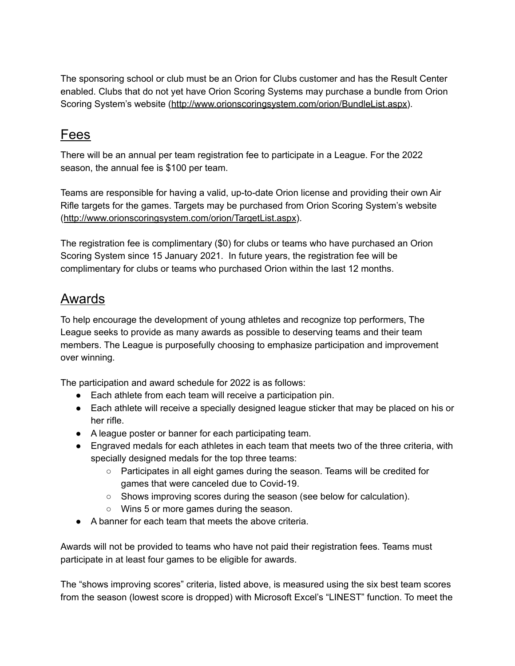The sponsoring school or club must be an Orion for Clubs customer and has the Result Center enabled. Clubs that do not yet have Orion Scoring Systems may purchase a bundle from Orion Scoring System's website (<http://www.orionscoringsystem.com/orion/BundleList.aspx>).

### Fees

There will be an annual per team registration fee to participate in a League. For the 2022 season, the annual fee is \$100 per team.

Teams are responsible for having a valid, up-to-date Orion license and providing their own Air Rifle targets for the games. Targets may be purchased from Orion Scoring System's website (<http://www.orionscoringsystem.com/orion/TargetList.aspx>).

The registration fee is complimentary (\$0) for clubs or teams who have purchased an Orion Scoring System since 15 January 2021. In future years, the registration fee will be complimentary for clubs or teams who purchased Orion within the last 12 months.

### Awards

To help encourage the development of young athletes and recognize top performers, The League seeks to provide as many awards as possible to deserving teams and their team members. The League is purposefully choosing to emphasize participation and improvement over winning.

The participation and award schedule for 2022 is as follows:

- Each athlete from each team will receive a participation pin.
- Each athlete will receive a specially designed league sticker that may be placed on his or her rifle.
- A league poster or banner for each participating team.
- Engraved medals for each athletes in each team that meets two of the three criteria, with specially designed medals for the top three teams:
	- Participates in all eight games during the season. Teams will be credited for games that were canceled due to Covid-19.
	- Shows improving scores during the season (see below for calculation).
	- Wins 5 or more games during the season.
- A banner for each team that meets the above criteria.

Awards will not be provided to teams who have not paid their registration fees. Teams must participate in at least four games to be eligible for awards.

The "shows improving scores" criteria, listed above, is measured using the six best team scores from the season (lowest score is dropped) with Microsoft Excel's "LINEST" function. To meet the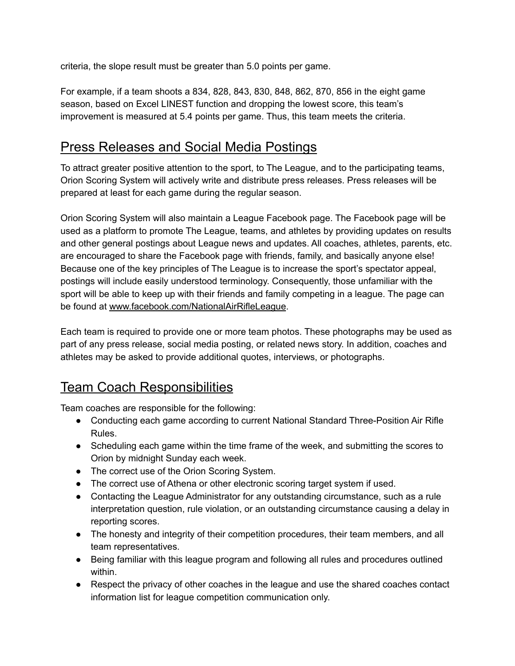criteria, the slope result must be greater than 5.0 points per game.

For example, if a team shoots a 834, 828, 843, 830, 848, 862, 870, 856 in the eight game season, based on Excel LINEST function and dropping the lowest score, this team's improvement is measured at 5.4 points per game. Thus, this team meets the criteria.

### Press Releases and Social Media Postings

To attract greater positive attention to the sport, to The League, and to the participating teams, Orion Scoring System will actively write and distribute press releases. Press releases will be prepared at least for each game during the regular season.

Orion Scoring System will also maintain a League Facebook page. The Facebook page will be used as a platform to promote The League, teams, and athletes by providing updates on results and other general postings about League news and updates. All coaches, athletes, parents, etc. are encouraged to share the Facebook page with friends, family, and basically anyone else! Because one of the key principles of The League is to increase the sport's spectator appeal, postings will include easily understood terminology. Consequently, those unfamiliar with the sport will be able to keep up with their friends and family competing in a league. The page can be found at [www.facebook.com/NationalAirRifleLeague](https://www.facebook.com/NationalAirRifleLeague).

Each team is required to provide one or more team photos. These photographs may be used as part of any press release, social media posting, or related news story. In addition, coaches and athletes may be asked to provide additional quotes, interviews, or photographs.

## Team Coach Responsibilities

Team coaches are responsible for the following:

- Conducting each game according to current National Standard Three-Position Air Rifle Rules.
- Scheduling each game within the time frame of the week, and submitting the scores to Orion by midnight Sunday each week.
- The correct use of the Orion Scoring System.
- The correct use of Athena or other electronic scoring target system if used.
- Contacting the League Administrator for any outstanding circumstance, such as a rule interpretation question, rule violation, or an outstanding circumstance causing a delay in reporting scores.
- The honesty and integrity of their competition procedures, their team members, and all team representatives.
- Being familiar with this league program and following all rules and procedures outlined within.
- Respect the privacy of other coaches in the league and use the shared coaches contact information list for league competition communication only.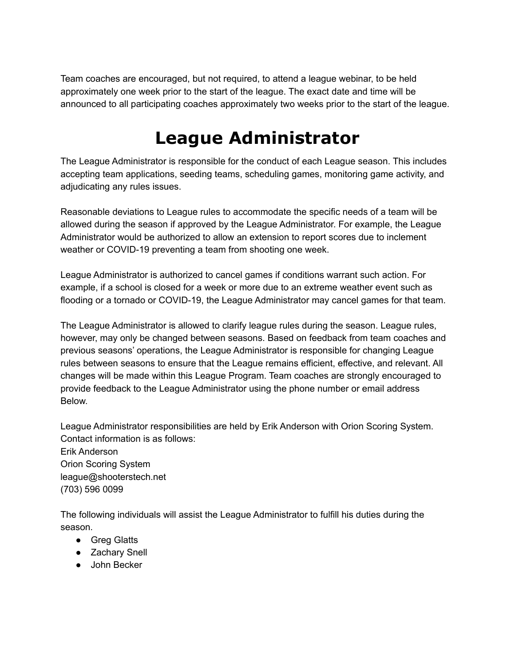Team coaches are encouraged, but not required, to attend a league webinar, to be held approximately one week prior to the start of the league. The exact date and time will be announced to all participating coaches approximately two weeks prior to the start of the league.

## **League Administrator**

The League Administrator is responsible for the conduct of each League season. This includes accepting team applications, seeding teams, scheduling games, monitoring game activity, and adjudicating any rules issues.

Reasonable deviations to League rules to accommodate the specific needs of a team will be allowed during the season if approved by the League Administrator. For example, the League Administrator would be authorized to allow an extension to report scores due to inclement weather or COVID-19 preventing a team from shooting one week.

League Administrator is authorized to cancel games if conditions warrant such action. For example, if a school is closed for a week or more due to an extreme weather event such as flooding or a tornado or COVID-19, the League Administrator may cancel games for that team.

The League Administrator is allowed to clarify league rules during the season. League rules, however, may only be changed between seasons. Based on feedback from team coaches and previous seasons' operations, the League Administrator is responsible for changing League rules between seasons to ensure that the League remains efficient, effective, and relevant. All changes will be made within this League Program. Team coaches are strongly encouraged to provide feedback to the League Administrator using the phone number or email address Below.

League Administrator responsibilities are held by Erik Anderson with Orion Scoring System. Contact information is as follows: Erik Anderson Orion Scoring System league@shooterstech.net (703) 596 0099

The following individuals will assist the League Administrator to fulfill his duties during the season.

- Greg Glatts
- Zachary Snell
- John Becker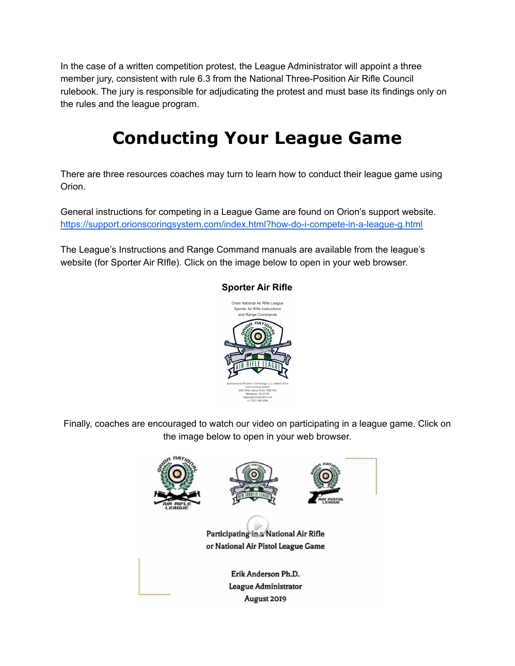In the case of a written competition protest, the League Administrator will appoint a three member jury, consistent with rule 6.3 from the National Three-Position Air Rifle Council rulebook. The jury is responsible for adjudicating the protest and must base its findings only on the rules and the league program.

## **Conducting Your League Game**

There are three resources coaches may turn to learn how to conduct their league game using Orion.

General instructions for competing in a League Game are found on Orion's support website. <https://support.orionscoringsystem.com/index.html?how-do-i-compete-in-a-league-g.html>

The League's Instructions and Range Command manuals are available from the league's website (for Sporter Air RIfle). Click on the image below to open in your web browser.



#### **Sporter Air Rifle**

Finally, coaches are encouraged to watch our video on participating in a league game. Click on the image below to open in your web browser.

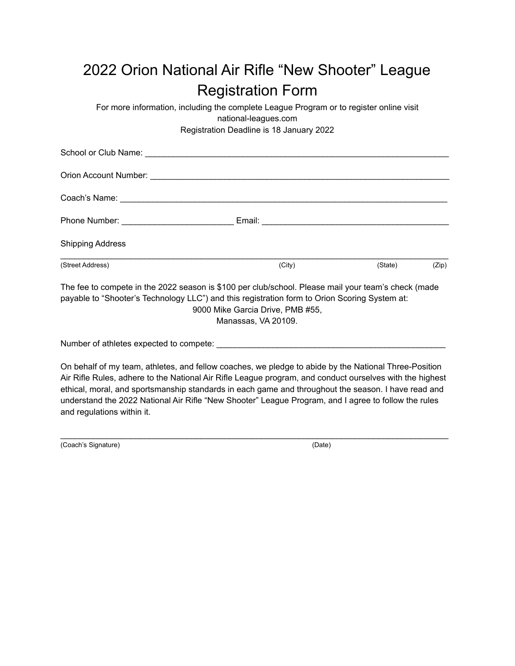## 2022 Orion National Air Rifle "New Shooter" League Registration Form

For more information, including the complete League Program or to register online visit national-leagues.com Registration Deadline is 18 January 2022

| <b>Shipping Address</b>                                                                                                                                                                              |                                                         |         |       |
|------------------------------------------------------------------------------------------------------------------------------------------------------------------------------------------------------|---------------------------------------------------------|---------|-------|
| (Street Address)                                                                                                                                                                                     | (City)                                                  | (State) | (Zip) |
| The fee to compete in the 2022 season is \$100 per club/school. Please mail your team's check (made<br>payable to "Shooter's Technology LLC") and this registration form to Orion Scoring System at: | 9000 Mike Garcia Drive, PMB #55,<br>Manassas, VA 20109. |         |       |

Number of athletes expected to compete:

On behalf of my team, athletes, and fellow coaches, we pledge to abide by the National Three-Position Air Rifle Rules, adhere to the National Air Rifle League program, and conduct ourselves with the highest ethical, moral, and sportsmanship standards in each game and throughout the season. I have read and understand the 2022 National Air Rifle "New Shooter" League Program, and I agree to follow the rules and regulations within it.

 $\mathcal{L}_\text{max}$  , and the set of the set of the set of the set of the set of the set of the set of the set of the set of the set of the set of the set of the set of the set of the set of the set of the set of the set of the

(Coach's Signature) (Date)